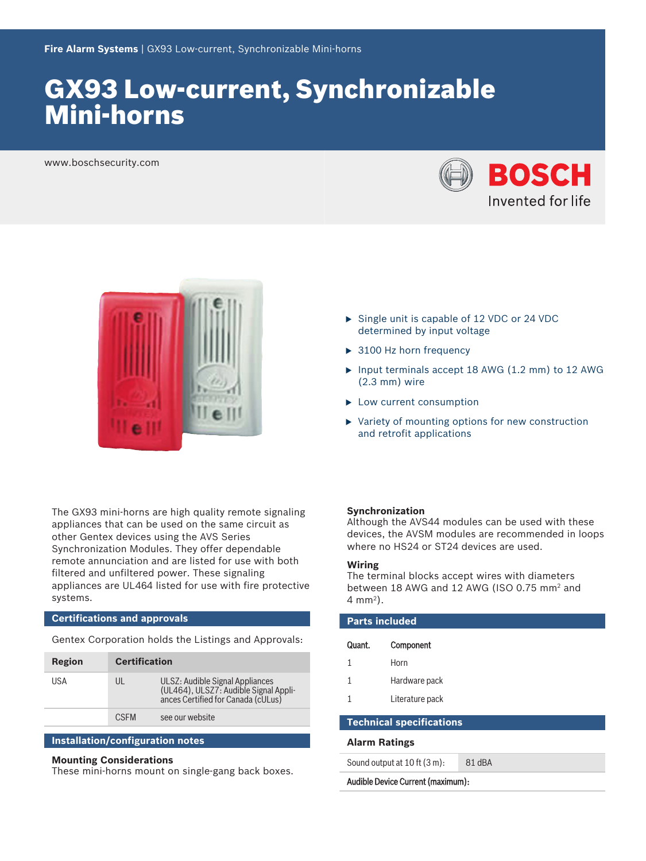# GX93 Low‑current, Synchronizable Mini‑horns

www.boschsecurity.com





The GX93 mini-horns are high quality remote signaling appliances that can be used on the same circuit as other Gentex devices using the AVS Series Synchronization Modules. They offer dependable remote annunciation and are listed for use with both filtered and unfiltered power. These signaling appliances are UL464 listed for use with fire protective systems.

# **Certifications and approvals**

Gentex Corporation holds the Listings and Approvals:

| Region | <b>Certification</b> |                                                                                                                |
|--------|----------------------|----------------------------------------------------------------------------------------------------------------|
| USA    | UL                   | ULSZ: Audible Signal Appliances<br>(UL464), ULSZ7: Audible Signal Appli-<br>ances Certified for Canada (cULus) |
|        | <b>CSEM</b>          | see our website                                                                                                |

# **Installation/configuration notes**

# **Mounting Considerations**

These mini-horns mount on single-gang back boxes.

- $\triangleright$  Single unit is capable of 12 VDC or 24 VDC determined by input voltage
- $\triangleright$  3100 Hz horn frequency
- $\triangleright$  Input terminals accept 18 AWG (1.2 mm) to 12 AWG (2.3 mm) wire
- $\blacktriangleright$  Low current consumption
- $\blacktriangleright$  Variety of mounting options for new construction and retrofit applications

# **Synchronization**

Although the AVS44 modules can be used with these devices, the AVSM modules are recommended in loops where no HS24 or ST24 devices are used.

# **Wiring**

The terminal blocks accept wires with diameters between 18 AWG and 12 AWG (ISO 0.75 mm<sup>2</sup> and 4 mm<sup>2</sup> ).

| <b>Parts included</b>           |                 |        |  |  |
|---------------------------------|-----------------|--------|--|--|
| Quant.                          | Component       |        |  |  |
| 1                               | Horn            |        |  |  |
| 1                               | Hardware pack   |        |  |  |
|                                 | Literature pack |        |  |  |
| <b>Technical specifications</b> |                 |        |  |  |
| <b>Alarm Ratings</b>            |                 |        |  |  |
| Sound output at 10 ft (3 m):    |                 | 81 dBA |  |  |

Audible Device Current (maximum):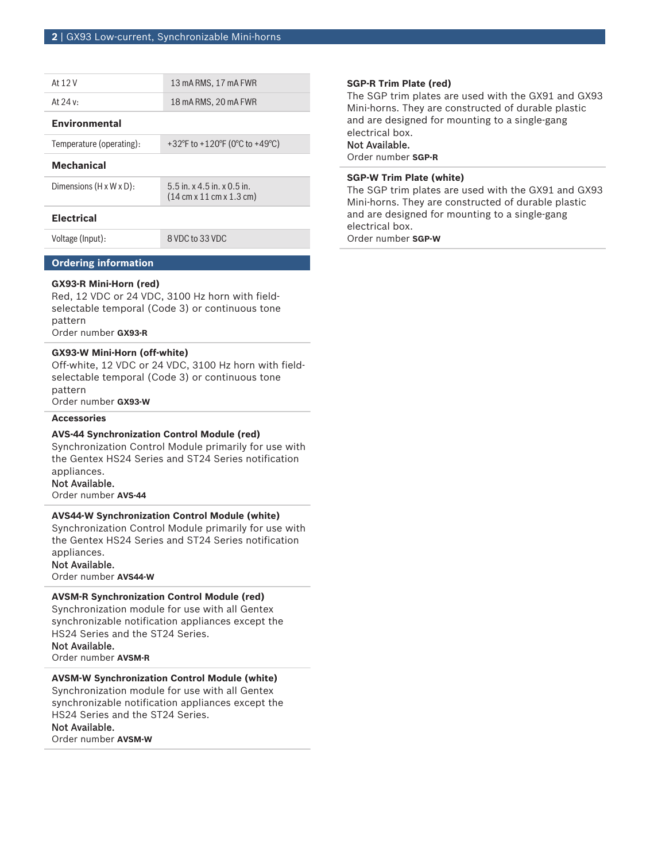| At 12 V                              | 13 mA RMS, 17 mA FWR                                                                          |
|--------------------------------------|-----------------------------------------------------------------------------------------------|
| At $24 v:$                           | 18 mA RMS, 20 mA FWR                                                                          |
| <b>Environmental</b>                 |                                                                                               |
| Temperature (operating):             | +32°F to +120°F (0°C to +49°C)                                                                |
| <b>Mechanical</b>                    |                                                                                               |
| Dimensions $(H \times W \times D)$ : | $5.5$ in, x 4.5 in, x 0.5 in,<br>$(14 \text{ cm} \times 11 \text{ cm} \times 1.3 \text{ cm})$ |
| <b>Flectrical</b>                    |                                                                                               |
| Voltage (Input):                     | 8 VDC to 33 VDC                                                                               |

# **Ordering information**

# **GX93-R Mini-Horn (red)**

Red, 12 VDC or 24 VDC, 3100 Hz horn with fieldselectable temporal (Code 3) or continuous tone pattern Order number **GX93-R**

## **GX93‑W Mini‑Horn (off‑white)**

Off-white, 12 VDC or 24 VDC, 3100 Hz horn with fieldselectable temporal (Code 3) or continuous tone pattern

Order number **GX93-W**

# **Accessories**

# **AVS‑44 Synchronization Control Module (red)**

Synchronization Control Module primarily for use with the Gentex HS24 Series and ST24 Series notification appliances.

### Not Available.

Order number **AVS-44**

# **AVS44‑W Synchronization Control Module (white)**

Synchronization Control Module primarily for use with the Gentex HS24 Series and ST24 Series notification appliances.

# Not Available.

Order number **AVS44-W**

# **AVSM‑R Synchronization Control Module (red)**

Synchronization module for use with all Gentex synchronizable notification appliances except the HS24 Series and the ST24 Series. Not Available.

Order number **AVSM-R**

# **AVSM‑W Synchronization Control Module (white)**

Synchronization module for use with all Gentex synchronizable notification appliances except the HS24 Series and the ST24 Series.

Not Available.

Order number **AVSM-W**

# **SGP‑R Trim Plate (red)**

The SGP trim plates are used with the GX91 and GX93 Mini-horns. They are constructed of durable plastic and are designed for mounting to a single‑gang electrical box.

# Not Available.

Order number **SGP-R**

# **SGP‑W Trim Plate (white)**

The SGP trim plates are used with the GX91 and GX93 Mini-horns. They are constructed of durable plastic and are designed for mounting to a single‑gang electrical box.

Order number **SGP-W**